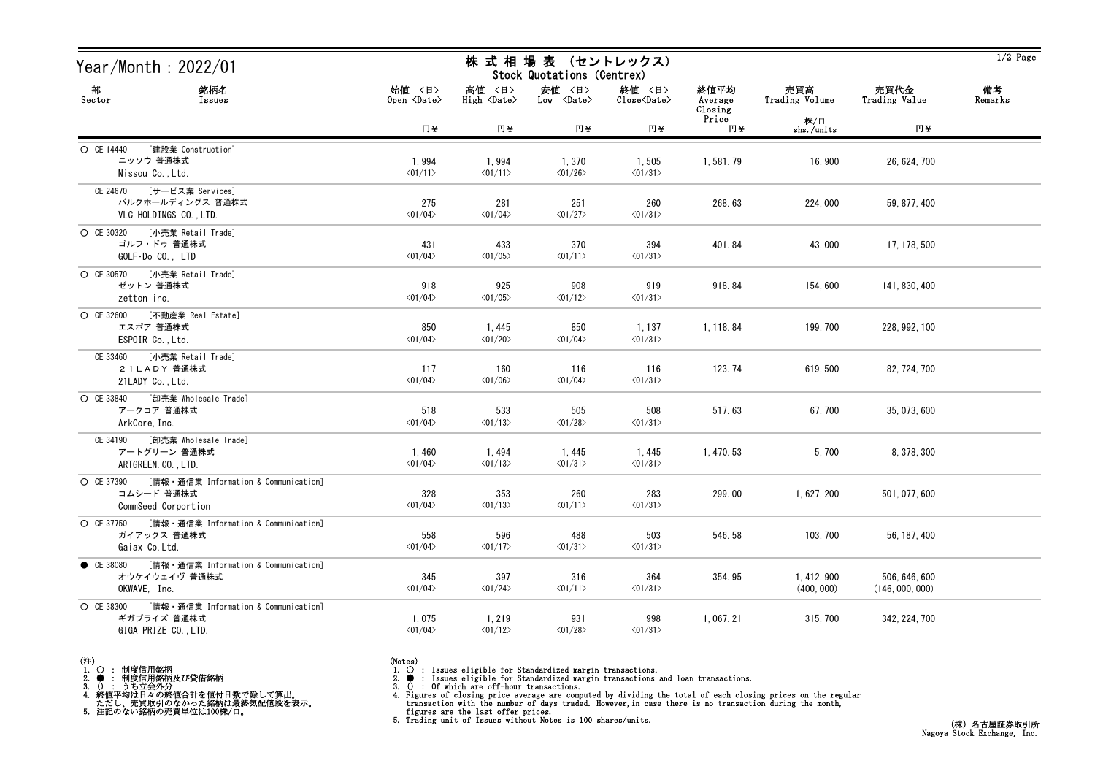| Year/Month: $2022/01$                                                                       |                                  | 株 式 相 場 表 (セントレックス)<br>Stock Quotations (Centrex) |                                            |                                   |                            |                           |                                  | $1/2$ Page    |
|---------------------------------------------------------------------------------------------|----------------------------------|---------------------------------------------------|--------------------------------------------|-----------------------------------|----------------------------|---------------------------|----------------------------------|---------------|
| 部<br>銘柄名<br>Sector<br>Issues                                                                | 始値 〈日〉<br>Open <date></date>     | 高値 〈日〉<br>High $\langle$ Date $\rangle$           | 安値 〈日〉<br>$Low \over \langle Date \rangle$ | 終値 〈日〉<br>Close <date></date>     | 終値平均<br>Average<br>Closing | 売買高<br>Trading Volume     | 売買代金<br>Trading Value            | 備考<br>Remarks |
|                                                                                             | 円半                               | 円半                                                | 円半                                         | 円半                                | Price<br>円半                | 株/口<br>shs./units         | 円半                               |               |
| [建設業 Construction]<br>O CE 14440<br>ニッソウ 普通株式<br>Nissou Co., Ltd.                           | 1,994<br>$\langle 01/11 \rangle$ | 1,994<br>$\langle 01/11 \rangle$                  | 1,370<br>$\langle 01/26 \rangle$           | 1,505<br>$\langle 01/31 \rangle$  | 1,581.79                   | 16,900                    | 26, 624, 700                     |               |
| CE 24670 [サービス業 Services]<br>バルクホールディングス 普通株式<br>VLC HOLDINGS CO., LTD.                     | 275<br>$\langle 01/04 \rangle$   | 281<br>$\langle 01/04 \rangle$                    | 251<br>$\langle 01/27 \rangle$             | 260<br>$\langle 01/31 \rangle$    | 268.63                     | 224,000                   | 59, 877, 400                     |               |
| ○ CE 30320 [小売業 Retail Trade]<br>ゴルフ・ドゥ 普通株式<br>$GOLF\cdot DoCO.$ , $LTD$                   | 431<br>$\langle 01/04 \rangle$   | 433<br>$\langle 01/05 \rangle$                    | 370<br>$\langle 01/11 \rangle$             | 394<br>$\langle 01/31 \rangle$    | 401.84                     | 43,000                    | 17, 178, 500                     |               |
| ○ CE 30570 [小売業 Retail Trade]<br>ゼットン 普通株式<br>zetton inc.                                   | 918<br>$\langle 01/04 \rangle$   | 925<br>$\langle 01/05 \rangle$                    | 908<br>$\langle 01/12 \rangle$             | 919<br>$\langle 01/31 \rangle$    | 918.84                     | 154,600                   | 141, 830, 400                    |               |
| 〇 CE 32600 [不動産業 Real Estate]<br>エスポア 普通株式<br>ESPOIR Co., Ltd.                              | 850<br>$\langle 01/04 \rangle$   | 1,445<br>$\langle 01/20 \rangle$                  | 850<br>$\langle 01/04 \rangle$             | 1, 137<br>$\langle 01/31 \rangle$ | 1, 118.84                  | 199, 700                  | 228, 992, 100                    |               |
| CE 33460 [小売業 Retail Trade]<br>21LADY 普通株式<br>21LADY Co., Ltd.                              | 117<br>$\langle 01/04 \rangle$   | 160<br>$\langle 01/06 \rangle$                    | 116<br>$\langle 01/04 \rangle$             | 116<br>$\langle 01/31 \rangle$    | 123.74                     | 619,500                   | 82, 724, 700                     |               |
| ○ CE 33840 [卸売業 Wholesale Trade]<br>アークコア 普通株式<br>ArkCore, Inc.                             | 518<br>$\langle 01/04 \rangle$   | 533<br>$\langle 01/13 \rangle$                    | 505<br>$\langle 01/28 \rangle$             | 508<br>$\langle 01/31 \rangle$    | 517.63                     | 67, 700                   | 35, 073, 600                     |               |
| CE 34190 [卸売業 Wholesale Trade]<br>アートグリーン 普通株式<br>ARTGREEN. CO., LTD.                       | 1,460<br>$\langle 01/04 \rangle$ | 1,494<br>$\langle 01/13 \rangle$                  | 1, 445<br>$\langle 01/31 \rangle$          | 1, 445<br>$\langle 01/31 \rangle$ | 1, 470. 53                 | 5,700                     | 8, 378, 300                      |               |
| ○ CE 37390 [情報 · 通信業 Information & Communication]<br>コムシード 普通株式<br>CommSeed Corportion      | 328<br>$\langle 01/04 \rangle$   | 353<br>$\langle 01/13 \rangle$                    | 260<br>$\langle 01/11 \rangle$             | 283<br>$\langle 01/31 \rangle$    | 299.00                     | 1, 627, 200               | 501, 077, 600                    |               |
| ○ CE 37750 [情報 · 通信業 Information & Communication]<br>ガイアックス 普通株式<br>Gaiax Co. Ltd.          | 558<br>$\langle 01/04 \rangle$   | 596<br>$\langle 01/17 \rangle$                    | 488<br>$\langle 01/31 \rangle$             | 503<br>$\langle 01/31 \rangle$    | 546.58                     | 103, 700                  | 56, 187, 400                     |               |
| [情報・通信業 Information & Communication]<br>CE 38080<br>オウケイウェイヴ 普通株式<br>OKWAVE, Inc.           | 345<br>$\langle 01/04 \rangle$   | 397<br>$\langle 01/24 \rangle$                    | 316<br>$\langle 01/11 \rangle$             | 364<br>$\langle 01/31 \rangle$    | 354.95                     | 1, 412, 900<br>(400, 000) | 506, 646, 600<br>(146, 000, 000) |               |
| [情報 · 通信業 Information & Communication]<br>O CE 38300<br>ギガプライズ 普通株式<br>GIGA PRIZE CO., LTD. | 1,075<br>$\langle 01/04 \rangle$ | 1, 219<br>$\langle 01/12 \rangle$                 | 931<br>$\langle 01/28 \rangle$             | 998<br>$\langle 01/31 \rangle$    | 1, 067. 21                 | 315, 700                  | 342, 224, 700                    |               |

(注)<br>1. ○<br>2. ●<br>3. ① 1. ○ : 制度信用銘柄

2. ● : 制度信用銘柄及び貸借銘柄<br>3. () : うち立会外分<br>4. 終値平均は日々の終値合計を値付日数で除して算出。<br>ただし、売買取引のなかった銘柄は最終気配値段を表示。<br>5. 注記のない銘柄の売買単位は100株/口。

(Notes)<br>1. ○ : Issues eligible for Standardized margin transactions.

2. ● : Issues eligible for Standardized margin transactions and loan transactions.<br>3. () : Of which are off-hour transactions.<br>4. Figures of closing prices on the regular transaction with the number of days traded. Howev